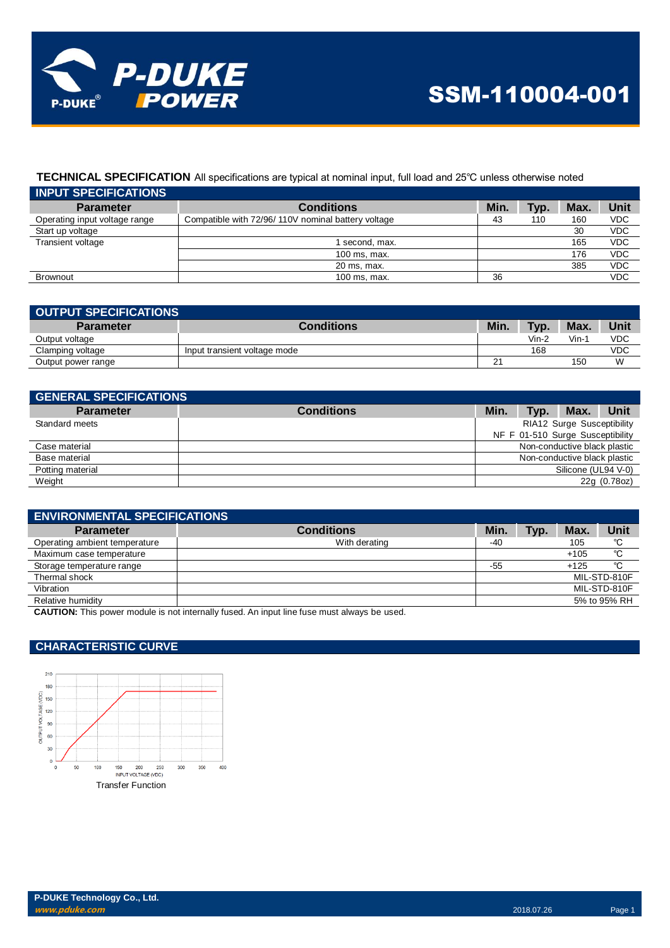

## **TECHNICAL SPECIFICATION** All specifications are typical at nominal input, full load and 25℃ unless otherwise noted

| <b>INPUT SPECIFICATIONS</b>   |                                                    |      |      |      |            |
|-------------------------------|----------------------------------------------------|------|------|------|------------|
| <b>Parameter</b>              | <b>Conditions</b>                                  | Min. | Typ. | Max. | Unit       |
| Operating input voltage range | Compatible with 72/96/110V nominal battery voltage | 43   | 110  | 160  | <b>VDC</b> |
| Start up voltage              |                                                    |      |      | 30   | <b>VDC</b> |
| Transient voltage             | second, max.                                       |      |      | 165  | <b>VDC</b> |
|                               | 100 ms, max.                                       |      |      | 176  | <b>VDC</b> |
|                               | 20 ms, max.                                        |      |      | 385  | <b>VDC</b> |
| <b>Brownout</b>               | 100 ms, max.                                       | 36   |      |      | <b>VDC</b> |

| OUTPUT SPECIFICATIONS |                              |      |       |      |      |
|-----------------------|------------------------------|------|-------|------|------|
| <b>Parameter</b>      | <b>Conditions</b>            | Min. | Typ.  | Max. | Unit |
| Output voltage        |                              |      | Vin-2 | Vin- | VDC  |
| Clamping voltage      | Input transient voltage mode |      | 168   |      | VDC  |
| Output power range    |                              | ິ    |       | 150  | W    |

| <b>GENERAL SPECIFICATIONS</b> |                   |                              |      |                                  |              |
|-------------------------------|-------------------|------------------------------|------|----------------------------------|--------------|
| <b>Parameter</b>              | <b>Conditions</b> | Min.                         | Typ. | Max.                             | Unit         |
| Standard meets                |                   |                              |      | RIA12 Surge Susceptibility       |              |
|                               |                   |                              |      | NF F 01-510 Surge Susceptibility |              |
| Case material                 |                   | Non-conductive black plastic |      |                                  |              |
| Base material                 |                   |                              |      | Non-conductive black plastic     |              |
| Potting material              |                   |                              |      | Silicone (UL94 V-0)              |              |
| Weight                        |                   |                              |      |                                  | 22g (0.78oz) |

| <b>ENVIRONMENTAL SPECIFICATIONS</b> |                   |      |      |        |              |
|-------------------------------------|-------------------|------|------|--------|--------------|
| <b>Parameter</b>                    | <b>Conditions</b> | Min. | Typ. | Max.   | Unit         |
| Operating ambient temperature       | With derating     | -40  |      | 105    | °C           |
| Maximum case temperature            |                   |      |      | $+105$ | °C           |
| Storage temperature range           |                   | -55  |      | $+125$ | °C           |
| Thermal shock                       |                   |      |      |        | MIL-STD-810F |
| Vibration                           |                   |      |      |        | MIL-STD-810F |
| Relative humidity                   |                   |      |      |        | 5% to 95% RH |
| .<br>- - - ---- - - - - - - -       | .                 |      |      |        |              |

**CAUTION:** This power module is not internally fused. An input line fuse must always be used.

### **CHARACTERISTIC CURVE**

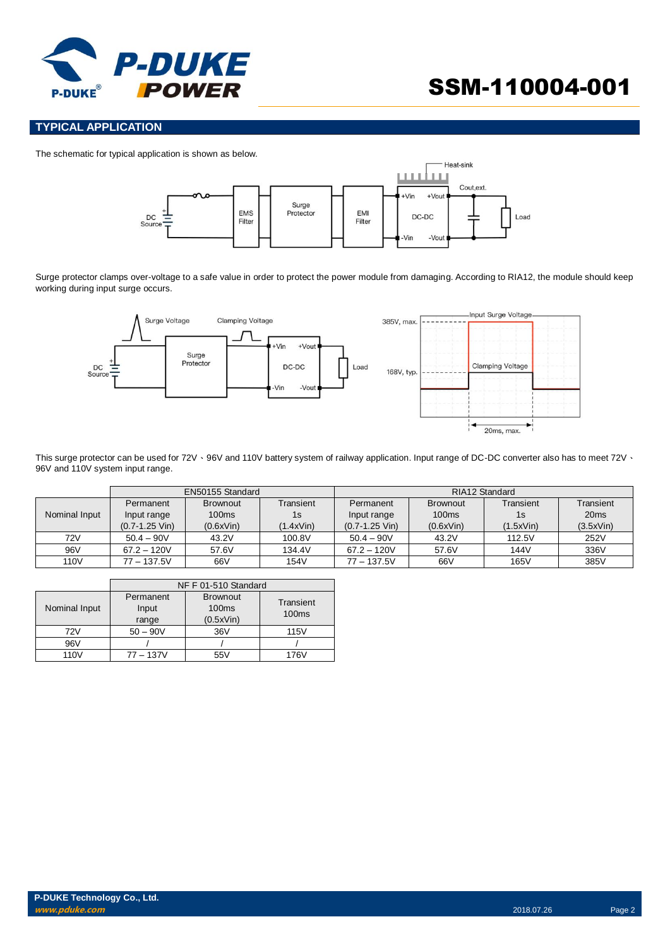

# SSM-110004-001

#### **TYPICAL APPLICATION**

The schematic for typical application is shown as below.



Surge protector clamps over-voltage to a safe value in order to protect the power module from damaging. According to RIA12, the module should keep working during input surge occurs.



This surge protector can be used for 72V · 96V and 110V battery system of railway application. Input range of DC-DC converter also has to meet 72V · 96V and 110V system input range.

|               | EN50155 Standard   |                 |           | RIA12 Standard     |                 |           |                  |
|---------------|--------------------|-----------------|-----------|--------------------|-----------------|-----------|------------------|
|               | Permanent          | <b>Brownout</b> | Transient | Permanent          | <b>Brownout</b> | Transient | Transient        |
| Nominal Input | Input range        | 100ms           | 1s        | Input range        | 100ms           | 1s        | 20 <sub>ms</sub> |
|               | $(0.7 - 1.25$ Vin) | (0.6xVin)       | (1.4xVin) | $(0.7 - 1.25$ Vin) | (0.6xVin)       | (1.5xVin) | (3.5xVin)        |
| 72V           | $50.4 - 90V$       | 43.2V           | 100.8V    | $50.4 - 90V$       | 43.2V           | 112.5V    | 252V             |
| 96V           | $67.2 - 120V$      | 57.6V           | 134.4V    | $67.2 - 120V$      | 57.6V           | 144V      | 336V             |
| 110V          | $77 - 137.5V$      | 66V             | 154V      | $77 - 137.5V$      | 66V             | 165V      | 385V             |

|                  | NF F 01-510 Standard |                   |                   |  |
|------------------|----------------------|-------------------|-------------------|--|
|                  | Permanent            | <b>Brownout</b>   | Transient         |  |
| Nominal Input    | Input                | 100 <sub>ms</sub> | 100 <sub>ms</sub> |  |
|                  | range                | (0.5xVin)         |                   |  |
| 72V              | $50 - 90V$           | 36V               | <b>115V</b>       |  |
| 96V              |                      |                   |                   |  |
| 110 <sub>V</sub> | $77 - 137V$          | 55V               | 176V              |  |